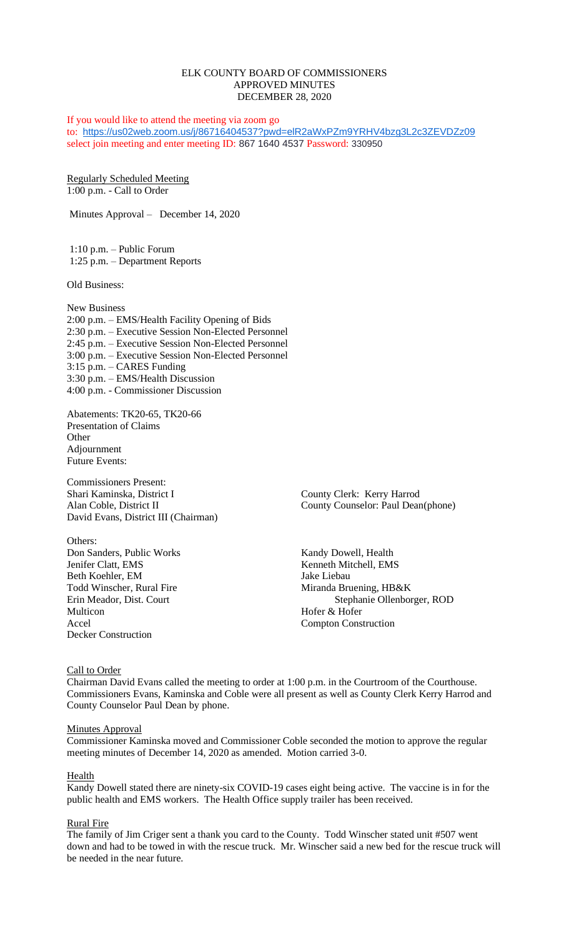# ELK COUNTY BOARD OF COMMISSIONERS APPROVED MINUTES DECEMBER 28, 2020

If you would like to attend the meeting via zoom go to: <https://us02web.zoom.us/j/86716404537?pwd=elR2aWxPZm9YRHV4bzg3L2c3ZEVDZz09> select join meeting and enter meeting ID: 867 1640 4537 Password: 330950

Regularly Scheduled Meeting 1:00 p.m. - Call to Order

Minutes Approval – December 14, 2020

1:10 p.m. – Public Forum 1:25 p.m. – Department Reports

Old Business:

New Business 2:00 p.m. – EMS/Health Facility Opening of Bids 2:30 p.m. – Executive Session Non-Elected Personnel 2:45 p.m. – Executive Session Non-Elected Personnel 3:00 p.m. – Executive Session Non-Elected Personnel 3:15 p.m. – CARES Funding 3:30 p.m. – EMS/Health Discussion 4:00 p.m. - Commissioner Discussion

Abatements: TK20-65, TK20-66 Presentation of Claims **Other** Adjournment Future Events:

Commissioners Present: Shari Kaminska, District I County Clerk: Kerry Harrod David Evans, District III (Chairman)

Others: Don Sanders, Public Works Kandy Dowell, Health Jenifer Clatt, EMS<br>
Beth Koehler. EM<br>
Jake Liebau Beth Koehler, EM Todd Winscher, Rural Fire Miranda Bruening, HB&K Multicon Hofer & Hofer Accel Compton Construction Decker Construction

Alan Coble, District II County Counselor: Paul Dean(phone)

Erin Meador, Dist. Court Stephanie Ollenborger, ROD

## Call to Order

Chairman David Evans called the meeting to order at 1:00 p.m. in the Courtroom of the Courthouse. Commissioners Evans, Kaminska and Coble were all present as well as County Clerk Kerry Harrod and County Counselor Paul Dean by phone.

### **Minutes Approval**

Commissioner Kaminska moved and Commissioner Coble seconded the motion to approve the regular meeting minutes of December 14, 2020 as amended. Motion carried 3-0.

### Health

Kandy Dowell stated there are ninety-six COVID-19 cases eight being active. The vaccine is in for the public health and EMS workers. The Health Office supply trailer has been received.

### Rural Fire

The family of Jim Criger sent a thank you card to the County. Todd Winscher stated unit #507 went down and had to be towed in with the rescue truck. Mr. Winscher said a new bed for the rescue truck will be needed in the near future.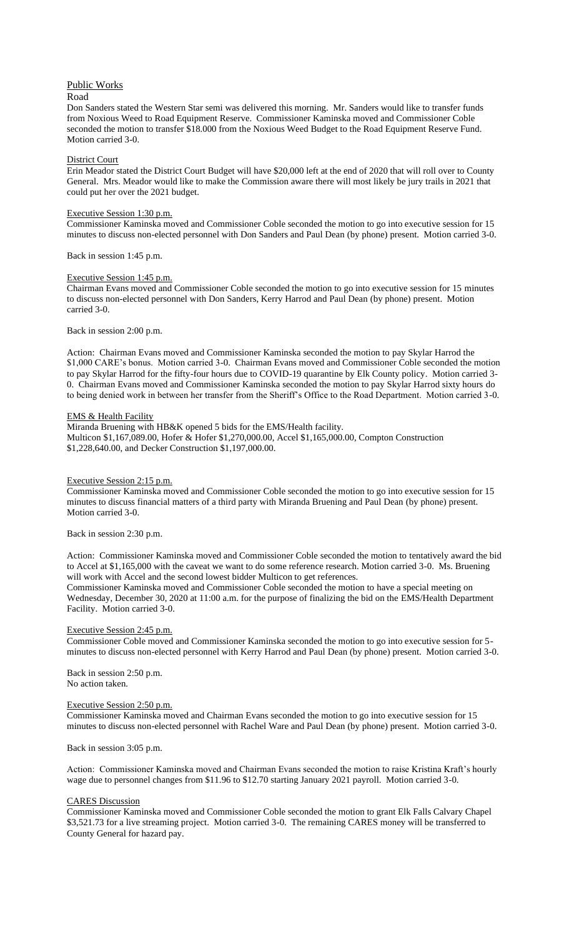## Public Works

### Road

Don Sanders stated the Western Star semi was delivered this morning. Mr. Sanders would like to transfer funds from Noxious Weed to Road Equipment Reserve. Commissioner Kaminska moved and Commissioner Coble seconded the motion to transfer \$18.000 from the Noxious Weed Budget to the Road Equipment Reserve Fund. Motion carried 3-0.

### District Court

Erin Meador stated the District Court Budget will have \$20,000 left at the end of 2020 that will roll over to County General. Mrs. Meador would like to make the Commission aware there will most likely be jury trails in 2021 that could put her over the 2021 budget.

### Executive Session 1:30 p.m.

Commissioner Kaminska moved and Commissioner Coble seconded the motion to go into executive session for 15 minutes to discuss non-elected personnel with Don Sanders and Paul Dean (by phone) present. Motion carried 3-0.

Back in session 1:45 p.m.

### Executive Session 1:45 p.m.

Chairman Evans moved and Commissioner Coble seconded the motion to go into executive session for 15 minutes to discuss non-elected personnel with Don Sanders, Kerry Harrod and Paul Dean (by phone) present. Motion carried 3-0.

#### Back in session 2:00 p.m.

Action: Chairman Evans moved and Commissioner Kaminska seconded the motion to pay Skylar Harrod the \$1,000 CARE's bonus. Motion carried 3-0. Chairman Evans moved and Commissioner Coble seconded the motion to pay Skylar Harrod for the fifty-four hours due to COVID-19 quarantine by Elk County policy. Motion carried 3- 0. Chairman Evans moved and Commissioner Kaminska seconded the motion to pay Skylar Harrod sixty hours do to being denied work in between her transfer from the Sheriff's Office to the Road Department. Motion carried 3-0.

### **EMS & Health Facility**

Miranda Bruening with HB&K opened 5 bids for the EMS/Health facility. Multicon \$1,167,089.00, Hofer & Hofer \$1,270,000.00, Accel \$1,165,000.00, Compton Construction \$1,228,640.00, and Decker Construction \$1,197,000.00.

### Executive Session 2:15 p.m.

Commissioner Kaminska moved and Commissioner Coble seconded the motion to go into executive session for 15 minutes to discuss financial matters of a third party with Miranda Bruening and Paul Dean (by phone) present. Motion carried 3-0.

### Back in session 2:30 p.m.

Action: Commissioner Kaminska moved and Commissioner Coble seconded the motion to tentatively award the bid to Accel at \$1,165,000 with the caveat we want to do some reference research. Motion carried 3-0. Ms. Bruening will work with Accel and the second lowest bidder Multicon to get references.

Commissioner Kaminska moved and Commissioner Coble seconded the motion to have a special meeting on Wednesday, December 30, 2020 at 11:00 a.m. for the purpose of finalizing the bid on the EMS/Health Department Facility. Motion carried 3-0.

## Executive Session 2:45 p.m.

Commissioner Coble moved and Commissioner Kaminska seconded the motion to go into executive session for 5 minutes to discuss non-elected personnel with Kerry Harrod and Paul Dean (by phone) present. Motion carried 3-0.

Back in session 2:50 p.m. No action taken.

#### Executive Session 2:50 p.m.

Commissioner Kaminska moved and Chairman Evans seconded the motion to go into executive session for 15 minutes to discuss non-elected personnel with Rachel Ware and Paul Dean (by phone) present. Motion carried 3-0.

Back in session 3:05 p.m.

Action: Commissioner Kaminska moved and Chairman Evans seconded the motion to raise Kristina Kraft's hourly wage due to personnel changes from \$11.96 to \$12.70 starting January 2021 payroll. Motion carried 3-0.

#### CARES Discussion

Commissioner Kaminska moved and Commissioner Coble seconded the motion to grant Elk Falls Calvary Chapel \$3,521.73 for a live streaming project. Motion carried 3-0. The remaining CARES money will be transferred to County General for hazard pay.